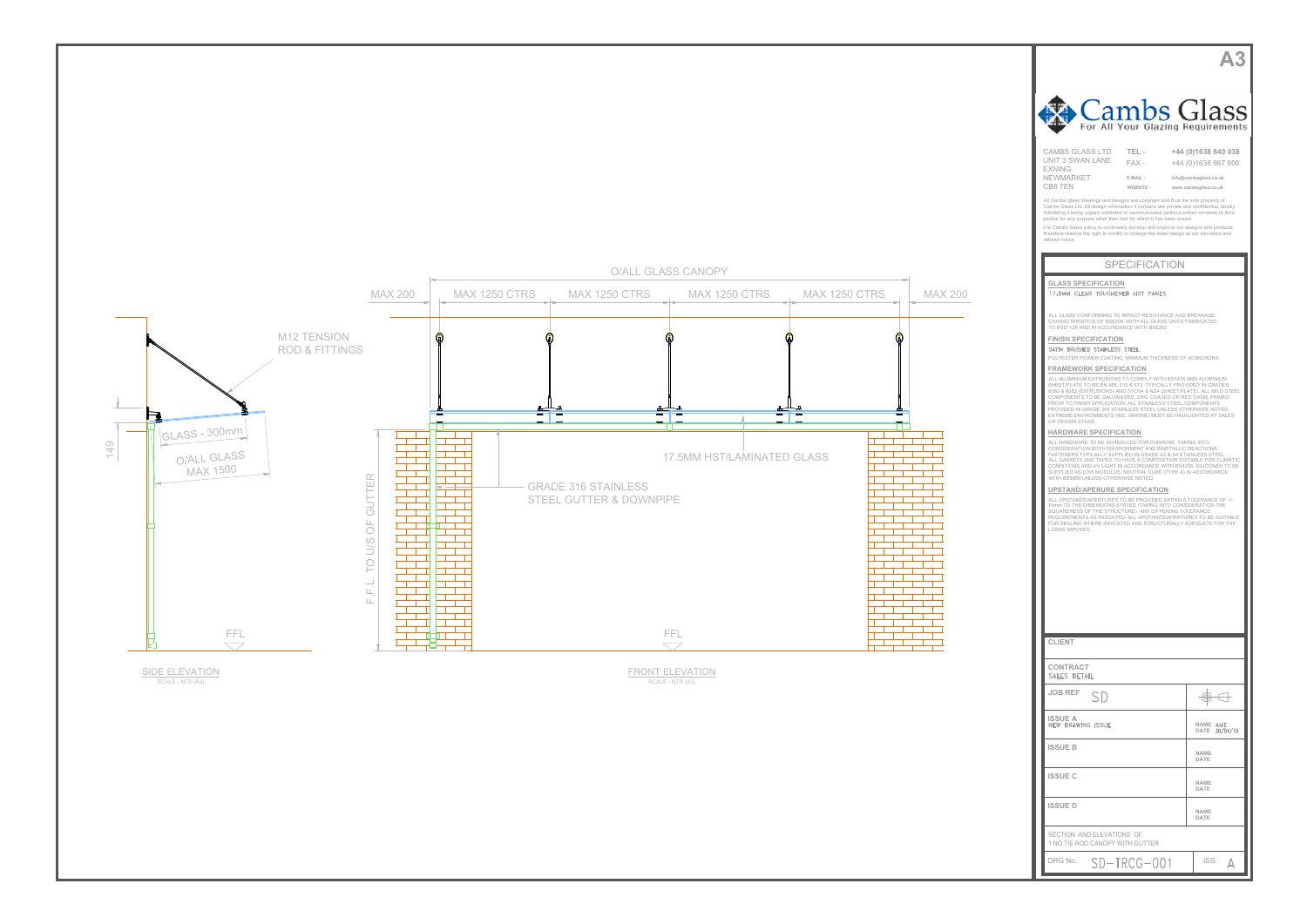

SIDE ELEVATION<br>SCALE - NTS (A3)



| <b>CLIENT</b>                                                |                           |
|--------------------------------------------------------------|---------------------------|
| <b>CONTRACT</b><br>SALES DETAIL                              |                           |
| <b>JOB REF</b><br>SD                                         |                           |
| <b>ISSUE A</b><br>NEW DRAWING ISSUE                          | NAME AME<br>DATE 30/04/15 |
| <b>ISSUE B</b>                                               | NAME<br>DATE              |
| <b>ISSUE C</b>                                               | NAME<br>DATE              |
| <b>ISSUED</b>                                                | NAME<br>DATE              |
| SECTION AND ELEVATIONS OF<br>1 NO TIE ROD CANOPY WITH GUTTER |                           |
| DRG No.<br>$SD-TRCG-001$                                     | ISS.                      |